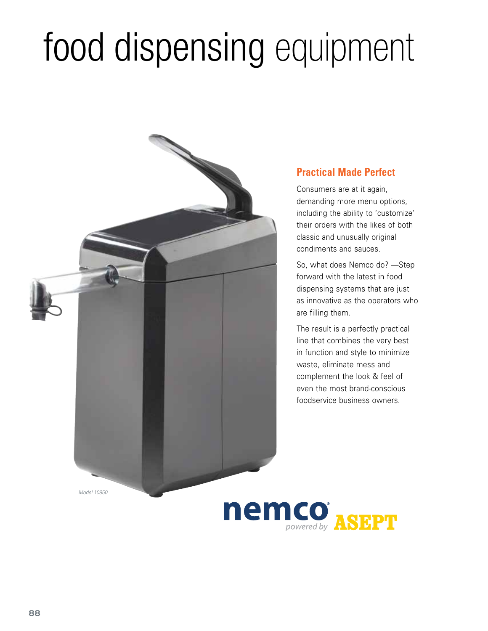# food dispensing equipment



## **Practical Made Perfect**

Consumers are at it again, demanding more menu options, including the ability to 'customize' their orders with the likes of both classic and unusually original condiments and sauces.

So, what does Nemco do? —Step forward with the latest in food dispensing systems that are just as innovative as the operators who are filling them.

The result is a perfectly practical line that combines the very best in function and style to minimize waste, eliminate mess and complement the look & feel of even the most brand-conscious foodservice business owners.

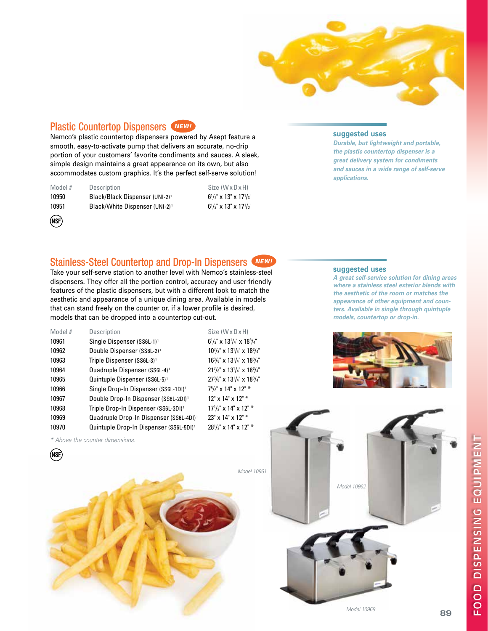

# **Plastic Countertop Dispensers** (NEW!

Nemco's plastic countertop dispensers powered by Asept feature a smooth, easy-to-activate pump that delivers an accurate, no-drip portion of your customers' favorite condiments and sauces. A sleek, simple design maintains a great appearance on its own, but also accommodates custom graphics. It's the perfect self-serve solution!

| Model # |  |
|---------|--|
| 10950   |  |
| 10951   |  |

(NSE)

Description Size (W x D x H) Black/Black Dispenser (UNI-2)<sup>1</sup> Black/White Dispenser (UNI-2)<sup>1</sup>

/2" x 13" x 171 /3" /2" x 13" x 171 /3"

#### **suggested uses**

*Durable, but lightweight and portable, the plastic countertop dispenser is a great delivery system for condiments and sauces in a wide range of self-serve applications.*

### Stainless-Steel Countertop and Drop-In Dispensers *NEW!*

Take your self-serve station to another level with Nemco's stainless-steel dispensers. They offer all the portion-control, accuracy and user-friendly features of the plastic dispensers, but with a different look to match the aesthetic and appearance of a unique dining area. Available in models that can stand freely on the counter or, if a lower profile is desired, models that can be dropped into a countertop cut-out.

| Description                                         | Siz             |
|-----------------------------------------------------|-----------------|
| Single Dispenser (SS6L-1) <sup>1</sup>              | $6^{1/2}$       |
| Double Dispenser (SS6L-2) <sup>1</sup>              | 10 <sup>7</sup> |
| Triple Dispenser (SS6L-3) <sup>1</sup>              | 16 <sup>3</sup> |
| Quadruple Dispenser (SS6L-4) <sup>1</sup>           | 21 <sup>7</sup> |
| Quintuple Dispenser (SS6L-5) <sup>1</sup>           | 27 <sup>3</sup> |
| Single Drop-In Dispenser (SS6L-1DI) <sup>1</sup>    | $7\frac{5}{8}$  |
| Double Drop-In Dispenser (SS6L-2DI) <sup>1</sup>    | 12"             |
| Triple Drop-In Dispenser (SS6L-3DI) <sup>1</sup>    | $17^{1}$        |
| Quadruple Drop-In Dispenser (SS6L-4DI) <sup>1</sup> | 23"             |
| Quintuple Drop-In Dispenser (SS6L-5DI) <sup>1</sup> | 28 <sup>1</sup> |
|                                                     |                 |

Size (W x D x H) /2" x 131 /4" x 183 /4" /8" x 131 /4" x 183 /4" /8" x 131 /4" x 183 /4" /8" x 131 /4" x 183 /4" /8" x 131 /4" x 183 /4" 7<sup>5</sup>/8" x 14" x 12" \* 12" x 14" x 12" \* 17<sup>1</sup>/<sub>2</sub>" x 14" x 12" \*  $10^{1}$  23" x 14" x 12" \* 28<sup>1</sup>/<sub>2</sub>" x 14" x 12" \*

#### **suggested uses**

*A great self-service solution for dining areas where a stainless steel exterior blends with the aesthetic of the room or matches the appearance of other equipment and counters. Available in single through quintuple models, countertop or drop-in.*





*\* Above the counter dimensions.*